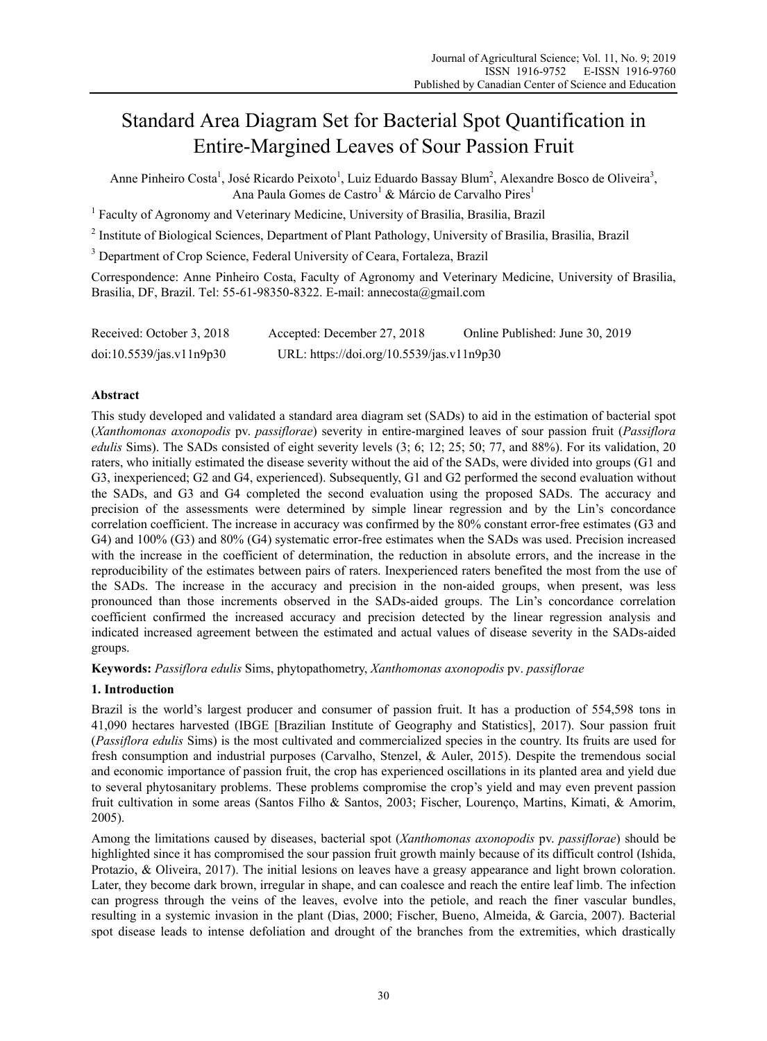# Standard Area Diagram Set for Bacterial Spot Quantification in Entire-Margined Leaves of Sour Passion Fruit

Anne Pinheiro Costa<sup>1</sup>, José Ricardo Peixoto<sup>1</sup>, Luiz Eduardo Bassay Blum<sup>2</sup>, Alexandre Bosco de Oliveira<sup>3</sup>, Ana Paula Gomes de Castro<sup>1</sup> & Márcio de Carvalho Pires<sup>1</sup>

<sup>1</sup> Faculty of Agronomy and Veterinary Medicine, University of Brasilia, Brasilia, Brazil

<sup>2</sup> Institute of Biological Sciences, Department of Plant Pathology, University of Brasilia, Brasilia, Brazil

<sup>3</sup> Department of Crop Science, Federal University of Ceara, Fortaleza, Brazil

Correspondence: Anne Pinheiro Costa, Faculty of Agronomy and Veterinary Medicine, University of Brasilia, Brasilia, DF, Brazil. Tel: 55-61-98350-8322. E-mail: annecosta@gmail.com

| Received: October 3, 2018 | Accepted: December 27, 2018               | Online Published: June 30, 2019 |
|---------------------------|-------------------------------------------|---------------------------------|
| doi:10.5539/jas.v11n9p30  | URL: https://doi.org/10.5539/jas.v11n9p30 |                                 |

## **Abstract**

This study developed and validated a standard area diagram set (SADs) to aid in the estimation of bacterial spot (*Xanthomonas axonopodis* pv. *passiflorae*) severity in entire-margined leaves of sour passion fruit (*Passiflora edulis* Sims). The SADs consisted of eight severity levels (3; 6; 12; 25; 50; 77, and 88%). For its validation, 20 raters, who initially estimated the disease severity without the aid of the SADs, were divided into groups (G1 and G3, inexperienced; G2 and G4, experienced). Subsequently, G1 and G2 performed the second evaluation without the SADs, and G3 and G4 completed the second evaluation using the proposed SADs. The accuracy and precision of the assessments were determined by simple linear regression and by the Lin's concordance correlation coefficient. The increase in accuracy was confirmed by the 80% constant error-free estimates (G3 and G4) and 100% (G3) and 80% (G4) systematic error-free estimates when the SADs was used. Precision increased with the increase in the coefficient of determination, the reduction in absolute errors, and the increase in the reproducibility of the estimates between pairs of raters. Inexperienced raters benefited the most from the use of the SADs. The increase in the accuracy and precision in the non-aided groups, when present, was less pronounced than those increments observed in the SADs-aided groups. The Lin's concordance correlation coefficient confirmed the increased accuracy and precision detected by the linear regression analysis and indicated increased agreement between the estimated and actual values of disease severity in the SADs-aided groups.

**Keywords:** *Passiflora edulis* Sims, phytopathometry, *Xanthomonas axonopodis* pv. *passiflorae* 

## **1. Introduction**

Brazil is the world's largest producer and consumer of passion fruit. It has a production of 554,598 tons in 41,090 hectares harvested (IBGE [Brazilian Institute of Geography and Statistics], 2017). Sour passion fruit (*Passiflora edulis* Sims) is the most cultivated and commercialized species in the country. Its fruits are used for fresh consumption and industrial purposes (Carvalho, Stenzel, & Auler, 2015). Despite the tremendous social and economic importance of passion fruit, the crop has experienced oscillations in its planted area and yield due to several phytosanitary problems. These problems compromise the crop's yield and may even prevent passion fruit cultivation in some areas (Santos Filho & Santos, 2003; Fischer, Lourenço, Martins, Kimati, & Amorim, 2005).

Among the limitations caused by diseases, bacterial spot (*Xanthomonas axonopodis* pv. *passiflorae*) should be highlighted since it has compromised the sour passion fruit growth mainly because of its difficult control (Ishida, Protazio, & Oliveira, 2017). The initial lesions on leaves have a greasy appearance and light brown coloration. Later, they become dark brown, irregular in shape, and can coalesce and reach the entire leaf limb. The infection can progress through the veins of the leaves, evolve into the petiole, and reach the finer vascular bundles, resulting in a systemic invasion in the plant (Dias, 2000; Fischer, Bueno, Almeida, & Garcia, 2007). Bacterial spot disease leads to intense defoliation and drought of the branches from the extremities, which drastically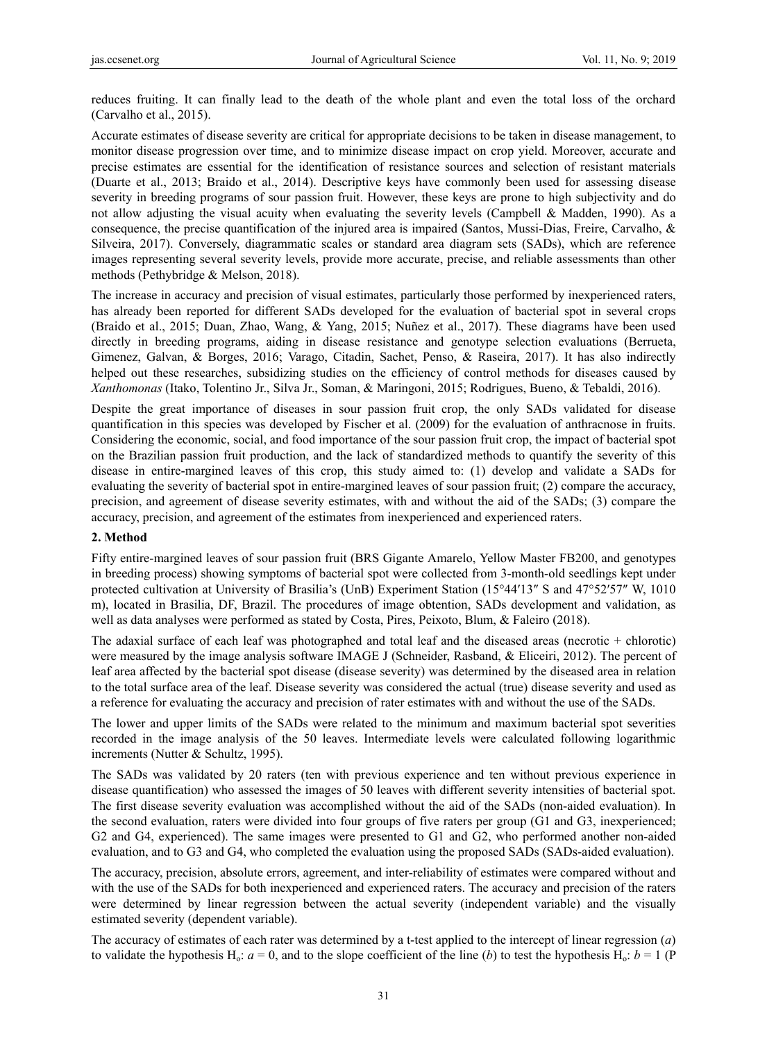reduces fruiting. It can finally lead to the death of the whole plant and even the total loss of the orchard (Carvalho et al., 2015).

Accurate estimates of disease severity are critical for appropriate decisions to be taken in disease management, to monitor disease progression over time, and to minimize disease impact on crop yield. Moreover, accurate and precise estimates are essential for the identification of resistance sources and selection of resistant materials (Duarte et al., 2013; Braido et al., 2014). Descriptive keys have commonly been used for assessing disease severity in breeding programs of sour passion fruit. However, these keys are prone to high subjectivity and do not allow adjusting the visual acuity when evaluating the severity levels (Campbell & Madden, 1990). As a consequence, the precise quantification of the injured area is impaired (Santos, Mussi-Dias, Freire, Carvalho, & Silveira, 2017). Conversely, diagrammatic scales or standard area diagram sets (SADs), which are reference images representing several severity levels, provide more accurate, precise, and reliable assessments than other methods (Pethybridge & Melson, 2018).

The increase in accuracy and precision of visual estimates, particularly those performed by inexperienced raters, has already been reported for different SADs developed for the evaluation of bacterial spot in several crops (Braido et al., 2015; Duan, Zhao, Wang, & Yang, 2015; Nuñez et al., 2017). These diagrams have been used directly in breeding programs, aiding in disease resistance and genotype selection evaluations (Berrueta, Gimenez, Galvan, & Borges, 2016; Varago, Citadin, Sachet, Penso, & Raseira, 2017). It has also indirectly helped out these researches, subsidizing studies on the efficiency of control methods for diseases caused by *Xanthomonas* (Itako, Tolentino Jr., Silva Jr., Soman, & Maringoni, 2015; Rodrigues, Bueno, & Tebaldi, 2016).

Despite the great importance of diseases in sour passion fruit crop, the only SADs validated for disease quantification in this species was developed by Fischer et al. (2009) for the evaluation of anthracnose in fruits. Considering the economic, social, and food importance of the sour passion fruit crop, the impact of bacterial spot on the Brazilian passion fruit production, and the lack of standardized methods to quantify the severity of this disease in entire-margined leaves of this crop, this study aimed to: (1) develop and validate a SADs for evaluating the severity of bacterial spot in entire-margined leaves of sour passion fruit; (2) compare the accuracy, precision, and agreement of disease severity estimates, with and without the aid of the SADs; (3) compare the accuracy, precision, and agreement of the estimates from inexperienced and experienced raters.

## **2. Method**

Fifty entire-margined leaves of sour passion fruit (BRS Gigante Amarelo, Yellow Master FB200, and genotypes in breeding process) showing symptoms of bacterial spot were collected from 3-month-old seedlings kept under protected cultivation at University of Brasilia's (UnB) Experiment Station (15°44′13″ S and 47°52′57″ W, 1010 m), located in Brasilia, DF, Brazil. The procedures of image obtention, SADs development and validation, as well as data analyses were performed as stated by Costa, Pires, Peixoto, Blum, & Faleiro (2018).

The adaxial surface of each leaf was photographed and total leaf and the diseased areas (necrotic + chlorotic) were measured by the image analysis software IMAGE J (Schneider, Rasband, & Eliceiri, 2012). The percent of leaf area affected by the bacterial spot disease (disease severity) was determined by the diseased area in relation to the total surface area of the leaf. Disease severity was considered the actual (true) disease severity and used as a reference for evaluating the accuracy and precision of rater estimates with and without the use of the SADs.

The lower and upper limits of the SADs were related to the minimum and maximum bacterial spot severities recorded in the image analysis of the 50 leaves. Intermediate levels were calculated following logarithmic increments (Nutter & Schultz, 1995).

The SADs was validated by 20 raters (ten with previous experience and ten without previous experience in disease quantification) who assessed the images of 50 leaves with different severity intensities of bacterial spot. The first disease severity evaluation was accomplished without the aid of the SADs (non-aided evaluation). In the second evaluation, raters were divided into four groups of five raters per group (G1 and G3, inexperienced; G2 and G4, experienced). The same images were presented to G1 and G2, who performed another non-aided evaluation, and to G3 and G4, who completed the evaluation using the proposed SADs (SADs-aided evaluation).

The accuracy, precision, absolute errors, agreement, and inter-reliability of estimates were compared without and with the use of the SADs for both inexperienced and experienced raters. The accuracy and precision of the raters were determined by linear regression between the actual severity (independent variable) and the visually estimated severity (dependent variable).

The accuracy of estimates of each rater was determined by a t-test applied to the intercept of linear regression (*a*) to validate the hypothesis H<sub>0</sub>:  $a = 0$ , and to the slope coefficient of the line (*b*) to test the hypothesis H<sub>0</sub>:  $b = 1$  (P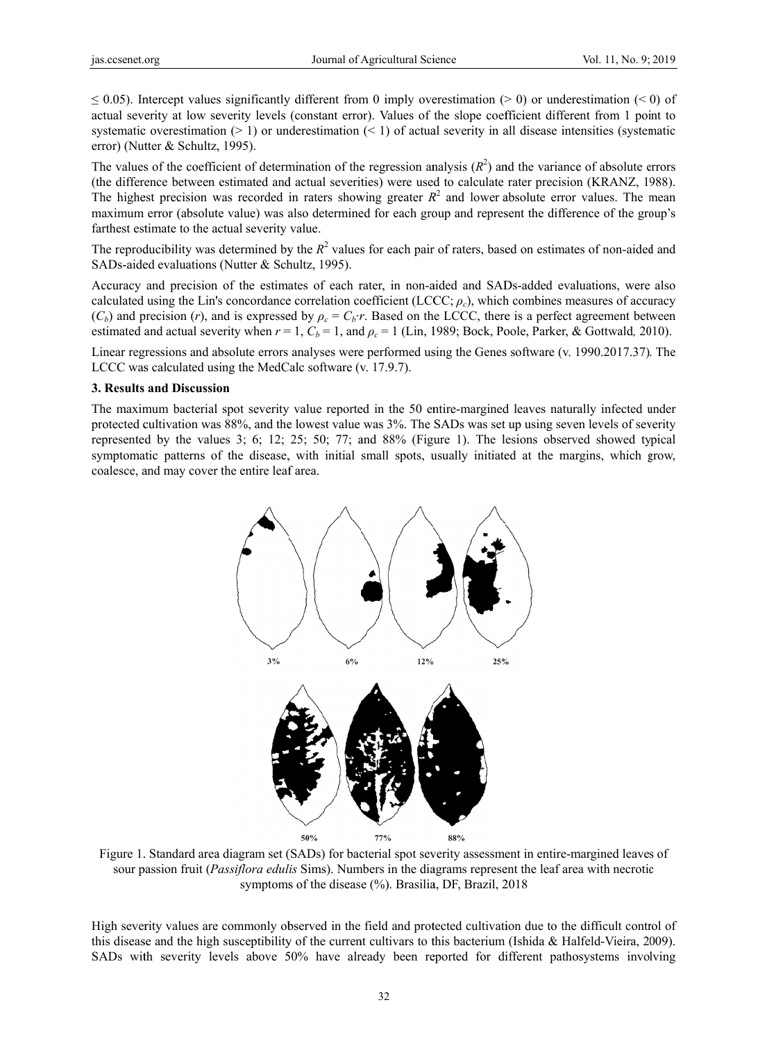$\leq$  0.05). Intercept values significantly different from 0 imply overestimation (> 0) or underestimation (< 0) of actual severity at low severity levels (constant error). Values of the slope coefficient different from 1 point to systematic overestimation  $(>1)$  or underestimation  $(<1)$  of actual severity in all disease intensities (systematic error) (Nutter & Schultz, 1995).

The values of the coefficient of determination of the regression analysis  $(R^2)$  and the variance of absolute errors (the difference between estimated and actual severities) were used to calculate rater precision (KRANZ, 1988). The highest precision was recorded in raters showing greater  $R^2$  and lower absolute error values. The mean maximum error (absolute value) was also determined for each group and represent the difference of the group's farthest estimate to the actual severity value.

The reproducibility was determined by the  $R^2$  values for each pair of raters, based on estimates of non-aided and SADs-aided evaluations (Nutter & Schultz, 1995).

Accuracy and precision of the estimates of each rater, in non-aided and SADs-added evaluations, were also calculated using the Lin's concordance correlation coefficient (LCCC;  $\rho_c$ ), which combines measures of accuracy  $(C_b)$  and precision (*r*), and is expressed by  $\rho_c = C_b \cdot r$ . Based on the LCCC, there is a perfect agreement between estimated and actual severity when  $r = 1$ ,  $C_b = 1$ , and  $\rho_c = 1$  (Lin, 1989; Bock, Poole, Parker, & Gottwald, 2010).

Linear regressions and absolute errors analyses were performed using the Genes software (v. 1990.2017.37). The LCCC was calculated using the MedCalc software (v. 17.9.7).

#### 3. Results and Discussion

The maximum bacterial spot severity value reported in the 50 entire-margined leaves naturally infected under protected cultivation was 88%, and the lowest value was 3%. The SADs was set up using seven levels of severity represented by the values 3; 6; 12; 25; 50; 77; and  $88\%$  (Figure 1). The lesions observed showed typical symptomatic patterns of the disease, with initial small spots, usually initiated at the margins, which grow, coalesce, and may cover the entire leaf area.



Figure 1. Standard area diagram set (SADs) for bacterial spot severity assessment in entire-margined leaves of sour passion fruit (Passiflora edulis Sims). Numbers in the diagrams represent the leaf area with necrotic symptoms of the disease (%). Brasilia, DF, Brazil, 2018

High severity values are commonly observed in the field and protected cultivation due to the difficult control of this disease and the high susceptibility of the current cultivars to this bacterium (Ishida & Halfeld-Vieira, 2009). SADs with severity levels above 50% have already been reported for different pathosystems involving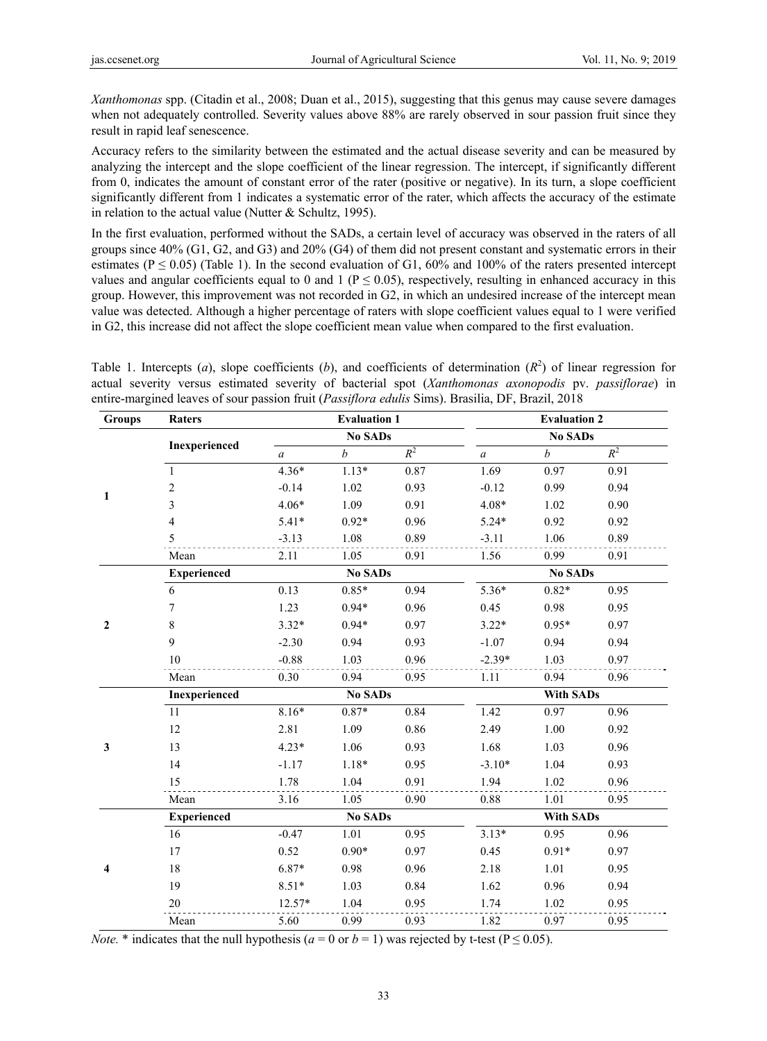*Xanthomonas* spp. (Citadin et al., 2008; Duan et al., 2015), suggesting that this genus may cause severe damages when not adequately controlled. Severity values above 88% are rarely observed in sour passion fruit since they result in rapid leaf senescence.

Accuracy refers to the similarity between the estimated and the actual disease severity and can be measured by analyzing the intercept and the slope coefficient of the linear regression. The intercept, if significantly different from 0, indicates the amount of constant error of the rater (positive or negative). In its turn, a slope coefficient significantly different from 1 indicates a systematic error of the rater, which affects the accuracy of the estimate in relation to the actual value (Nutter & Schultz, 1995).

In the first evaluation, performed without the SADs, a certain level of accuracy was observed in the raters of all groups since 40% (G1, G2, and G3) and 20% (G4) of them did not present constant and systematic errors in their estimates ( $P \le 0.05$ ) (Table 1). In the second evaluation of G1, 60% and 100% of the raters presented intercept values and angular coefficients equal to 0 and 1 ( $P \le 0.05$ ), respectively, resulting in enhanced accuracy in this group. However, this improvement was not recorded in G2, in which an undesired increase of the intercept mean value was detected. Although a higher percentage of raters with slope coefficient values equal to 1 were verified in G2, this increase did not affect the slope coefficient mean value when compared to the first evaluation.

Table 1. Intercepts (*a*), slope coefficients (*b*), and coefficients of determination ( $R<sup>2</sup>$ ) of linear regression for actual severity versus estimated severity of bacterial spot (*Xanthomonas axonopodis* pv. *passiflorae*) in entire-margined leaves of sour passion fruit (*Passiflora edulis* Sims). Brasilia, DF, Brazil, 2018

| Groups         | Raters             | <b>Evaluation 1</b> |                  |       | <b>Evaluation 2</b> |                  |       |  |
|----------------|--------------------|---------------------|------------------|-------|---------------------|------------------|-------|--|
| $\mathbf{1}$   | Inexperienced      |                     | <b>No SADs</b>   |       |                     | <b>No SADs</b>   |       |  |
|                |                    | $\mathfrak{a}$      | $\boldsymbol{b}$ | $R^2$ | $\mathfrak a$       | $\boldsymbol{b}$ | $R^2$ |  |
|                | $\mathbf{1}$       | $4.36*$             | $1.13*$          | 0.87  | 1.69                | 0.97             | 0.91  |  |
|                | $\overline{c}$     | $-0.14$             | 1.02             | 0.93  | $-0.12$             | 0.99             | 0.94  |  |
|                | 3                  | $4.06*$             | 1.09             | 0.91  | $4.08*$             | 1.02             | 0.90  |  |
|                | $\overline{4}$     | $5.41*$             | $0.92*$          | 0.96  | $5.24*$             | 0.92             | 0.92  |  |
|                | 5                  | $-3.13$             | 1.08             | 0.89  | $-3.11$             | 1.06             | 0.89  |  |
|                | Mean               | 2.11                | 1.05             | 0.91  | 1.56                | 0.99             | 0.91  |  |
|                | <b>Experienced</b> |                     | <b>No SADs</b>   |       |                     | No SADs          |       |  |
|                | 6                  | 0.13                | $0.85*$          | 0.94  | $5.36*$             | $0.82*$          | 0.95  |  |
|                | 7                  | 1.23                | $0.94*$          | 0.96  | 0.45                | 0.98             | 0.95  |  |
| $\mathbf{2}$   | 8                  | $3.32*$             | $0.94*$          | 0.97  | $3.22*$             | $0.95*$          | 0.97  |  |
|                | 9                  | $-2.30$             | 0.94             | 0.93  | $-1.07$             | 0.94             | 0.94  |  |
|                | 10                 | $-0.88$             | 1.03             | 0.96  | $-2.39*$            | 1.03             | 0.97  |  |
|                | Mean               | 0.30                | 0.94             | 0.95  | 1.11                | 0.94             | 0.96  |  |
|                | Inexperienced      |                     | <b>No SADs</b>   |       |                     | <b>With SADs</b> |       |  |
|                | 11                 | $8.16*$             | $0.87*$          | 0.84  | 1.42                | 0.97             | 0.96  |  |
|                | 12                 | 2.81                | 1.09             | 0.86  | 2.49                | 1.00             | 0.92  |  |
| 3              | 13                 | $4.23*$             | 1.06             | 0.93  | 1.68                | 1.03             | 0.96  |  |
|                | 14                 | $-1.17$             | $1.18*$          | 0.95  | $-3.10*$            | 1.04             | 0.93  |  |
|                | 15                 | 1.78                | 1.04             | 0.91  | 1.94                | 1.02             | 0.96  |  |
|                | Mean               | 3.16                | 1.05             | 0.90  | 0.88                | 1.01             | 0.95  |  |
|                | <b>Experienced</b> | <b>No SADs</b>      |                  |       | <b>With SADs</b>    |                  |       |  |
|                | 16                 | $-0.47$             | 1.01             | 0.95  | $3.13*$             | 0.95             | 0.96  |  |
| $\overline{4}$ | 17                 | 0.52                | $0.90*$          | 0.97  | 0.45                | $0.91*$          | 0.97  |  |
|                | 18                 | $6.87*$             | 0.98             | 0.96  | 2.18                | 1.01             | 0.95  |  |
|                | 19                 | $8.51*$             | 1.03             | 0.84  | 1.62                | 0.96             | 0.94  |  |
|                | 20                 | 12.57*              | 1.04             | 0.95  | 1.74                | 1.02             | 0.95  |  |
|                | Mean               | 5.60                | 0.99             | 0.93  | 1.82                | 0.97             | 0.95  |  |

*Note.* \* indicates that the null hypothesis ( $a = 0$  or  $b = 1$ ) was rejected by t-test ( $P \le 0.05$ ).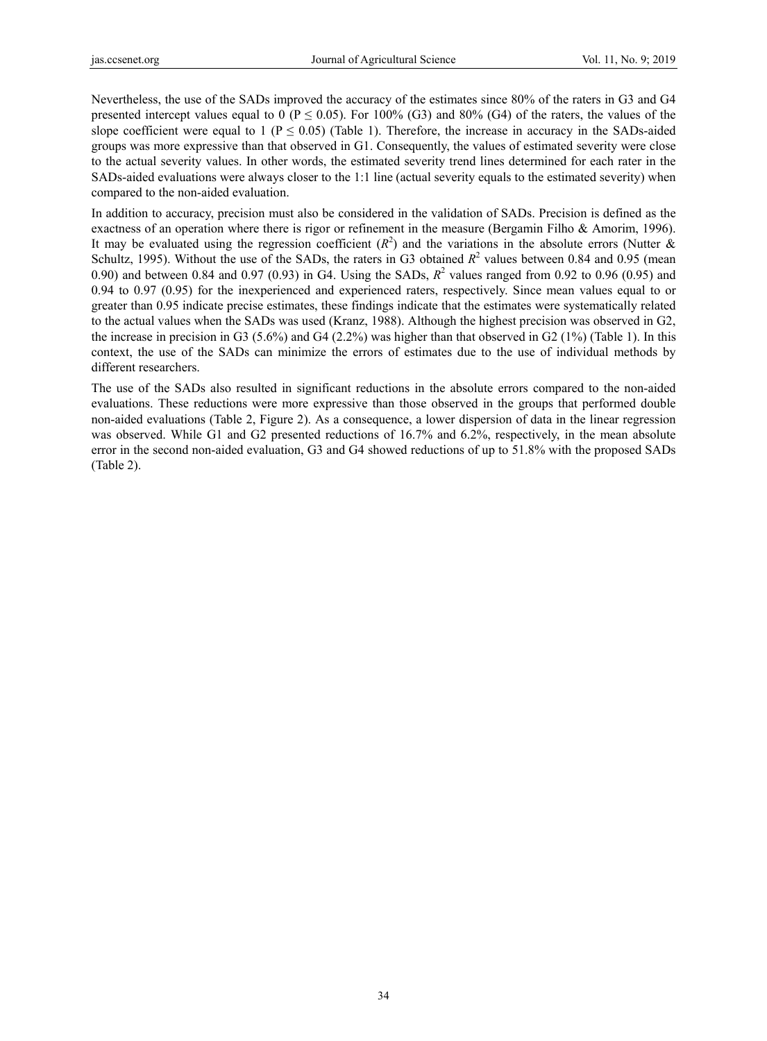Nevertheless, the use of the SADs improved the accuracy of the estimates since 80% of the raters in G3 and G4 presented intercept values equal to 0 ( $P \le 0.05$ ). For 100% (G3) and 80% (G4) of the raters, the values of the slope coefficient were equal to 1 ( $P \le 0.05$ ) (Table 1). Therefore, the increase in accuracy in the SADs-aided groups was more expressive than that observed in G1. Consequently, the values of estimated severity were close to the actual severity values. In other words, the estimated severity trend lines determined for each rater in the SADs-aided evaluations were always closer to the 1:1 line (actual severity equals to the estimated severity) when compared to the non-aided evaluation.

In addition to accuracy, precision must also be considered in the validation of SADs. Precision is defined as the exactness of an operation where there is rigor or refinement in the measure (Bergamin Filho & Amorim, 1996). It may be evaluated using the regression coefficient  $(R^2)$  and the variations in the absolute errors (Nutter & Schultz, 1995). Without the use of the SADs, the raters in G3 obtained  $R^2$  values between 0.84 and 0.95 (mean 0.90) and between 0.84 and 0.97 (0.93) in G4. Using the SADs,  $R^2$  values ranged from 0.92 to 0.96 (0.95) and 0.94 to 0.97 (0.95) for the inexperienced and experienced raters, respectively. Since mean values equal to or greater than 0.95 indicate precise estimates, these findings indicate that the estimates were systematically related to the actual values when the SADs was used (Kranz, 1988). Although the highest precision was observed in G2, the increase in precision in G3 (5.6%) and G4 (2.2%) was higher than that observed in G2 (1%) (Table 1). In this context, the use of the SADs can minimize the errors of estimates due to the use of individual methods by different researchers.

The use of the SADs also resulted in significant reductions in the absolute errors compared to the non-aided evaluations. These reductions were more expressive than those observed in the groups that performed double non-aided evaluations (Table 2, Figure 2). As a consequence, a lower dispersion of data in the linear regression was observed. While G1 and G2 presented reductions of 16.7% and 6.2%, respectively, in the mean absolute error in the second non-aided evaluation, G3 and G4 showed reductions of up to 51.8% with the proposed SADs (Table 2).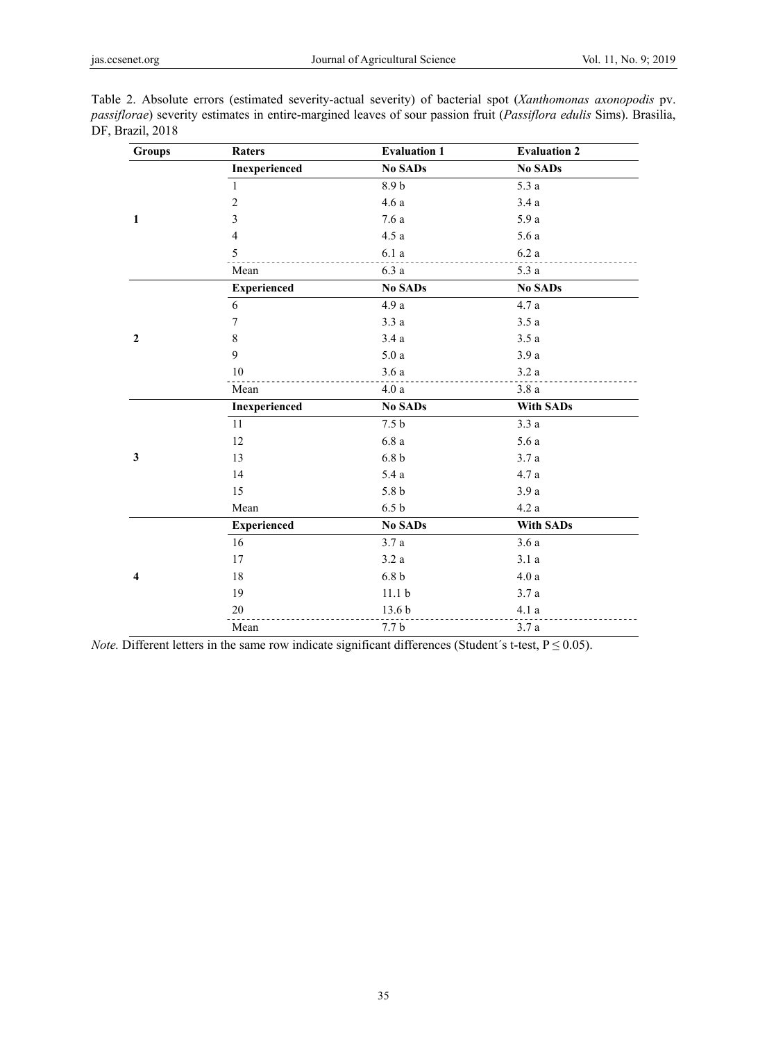| <b>Groups</b>           | Raters                  | <b>Evaluation 1</b> | <b>Evaluation 2</b> |
|-------------------------|-------------------------|---------------------|---------------------|
|                         | Inexperienced           | <b>No SADs</b>      | <b>No SADs</b>      |
|                         | $\mathbf{1}$            | 8.9 <sub>b</sub>    | 5.3a                |
|                         | $\boldsymbol{2}$        | 4.6a                | 3.4a                |
| $\mathbf 1$             | $\overline{\mathbf{3}}$ | 7.6a                | 5.9 a               |
|                         | $\overline{4}$          | 4.5a                | 5.6 a               |
|                         | $\sqrt{5}$              | 6.1a                | $6.2\ a$            |
|                         | Mean                    | 6.3a                | 5.3a                |
|                         | <b>Experienced</b>      | <b>No SADs</b>      | <b>No SADs</b>      |
|                         | $\sqrt{6}$              | 4.9 a               | 4.7a                |
|                         | 7                       | 3.3a                | 3.5a                |
| $\boldsymbol{2}$        | 8                       | 3.4a                | 3.5a                |
|                         | 9                       | 5.0a                | 3.9a                |
|                         | 10                      | 3.6a                | 3.2a                |
|                         | Mean                    | 4.0a                | 3.8a                |
|                         | Inexperienced           | <b>No SADs</b>      | <b>With SADs</b>    |
|                         | 11                      | 7.5 <sub>b</sub>    | 3.3a                |
|                         | 12                      | 6.8a                | 5.6a                |
|                         | 13                      | 6.8 <sub>b</sub>    | 3.7a                |
|                         | 14                      | 5.4a                | $4.7\ a$            |
|                         | 15                      | 5.8 <sub>b</sub>    | 3.9a                |
|                         | Mean                    | 6.5 <sub>b</sub>    | 4.2a                |
|                         | <b>Experienced</b>      | <b>No SADs</b>      | <b>With SADs</b>    |
|                         | 16                      | 3.7a                | 3.6a                |
|                         | 17                      | 3.2a                | 3.1a                |
| $\overline{\mathbf{4}}$ | 18                      | 6.8 <sub>b</sub>    | 4.0a                |
|                         | 19                      | 11.1 <sub>b</sub>   | 3.7a                |
|                         | 20                      | 13.6 <sub>b</sub>   | 4.1a                |
|                         | Mean                    | 7.7 <sub>b</sub>    | 3.7a                |

Table 2. Absolute errors (estimated severity-actual severity) of bacterial spot (*Xanthomonas axonopodis* pv. *passiflorae*) severity estimates in entire-margined leaves of sour passion fruit (*Passiflora edulis* Sims). Brasilia,  $D<sub>l</sub>$ 

*Note.* Different letters in the same row indicate significant differences (Student's t-test,  $P \le 0.05$ ).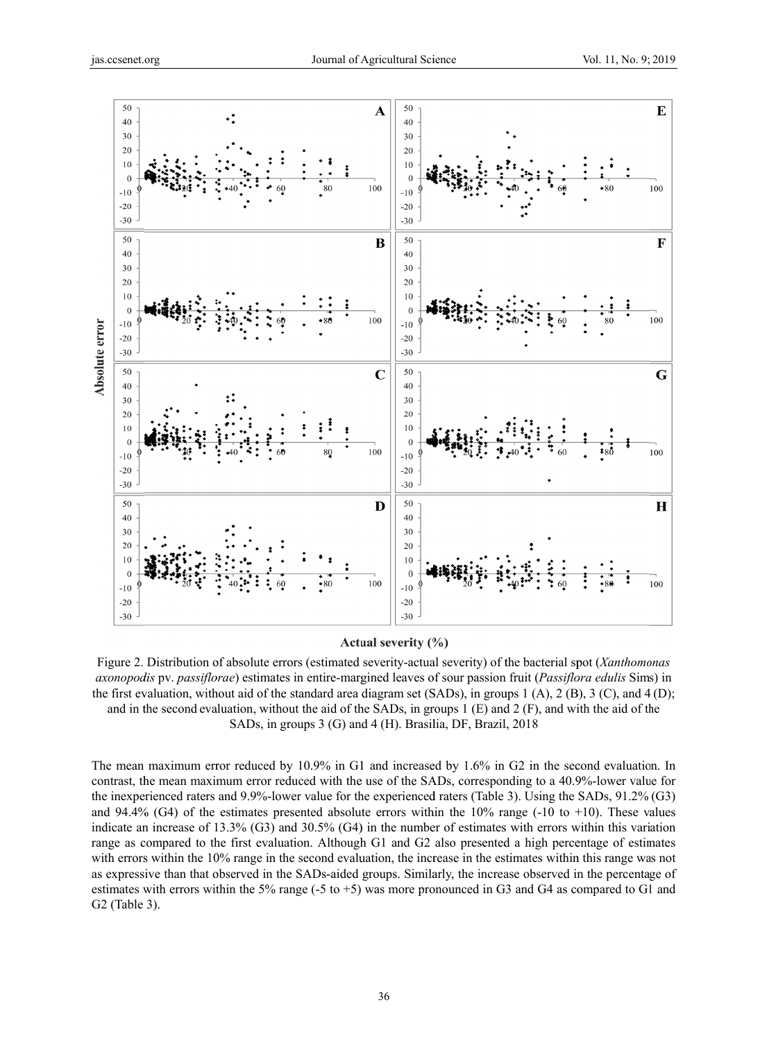

Actual severity (%)

Figure 2. Distribution of absolute errors (estimated severity-actual severity) of the bacterial spot (Xanthomonas axonopodis pv. passiflorae) estimates in entire-margined leaves of sour passion fruit (Passiflora edulis Sims) in the first evaluation, without aid of the standard area diagram set (SADs), in groups  $1(A)$ ,  $2(B)$ ,  $3(C)$ , and  $4(D)$ ; and in the second evaluation, without the aid of the SADs, in groups  $1(E)$  and  $2(F)$ , and with the aid of the SADs, in groups 3 (G) and 4 (H). Brasilia, DF, Brazil, 2018

The mean maximum error reduced by 10.9% in G1 and increased by 1.6% in G2 in the second evaluation. In contrast, the mean maximum error reduced with the use of the SADs, corresponding to a 40.9%-lower value for the inexperienced raters and 9.9%-lower value for the experienced raters (Table 3). Using the SADs,  $91.2\%$  (G3) and 94.4% (G4) of the estimates presented absolute errors within the  $10\%$  range (-10 to +10). These values indicate an increase of 13.3% (G3) and 30.5% (G4) in the number of estimates with errors within this variation range as compared to the first evaluation. Although G1 and G2 also presented a high percentage of estimates with errors within the 10% range in the second evaluation, the increase in the estimates within this range was not as expressive than that observed in the SADs-aided groups. Similarly, the increase observed in the percentage of estimates with errors within the 5% range (-5 to +5) was more pronounced in G3 and G4 as compared to G1 and  $G2$  (Table 3).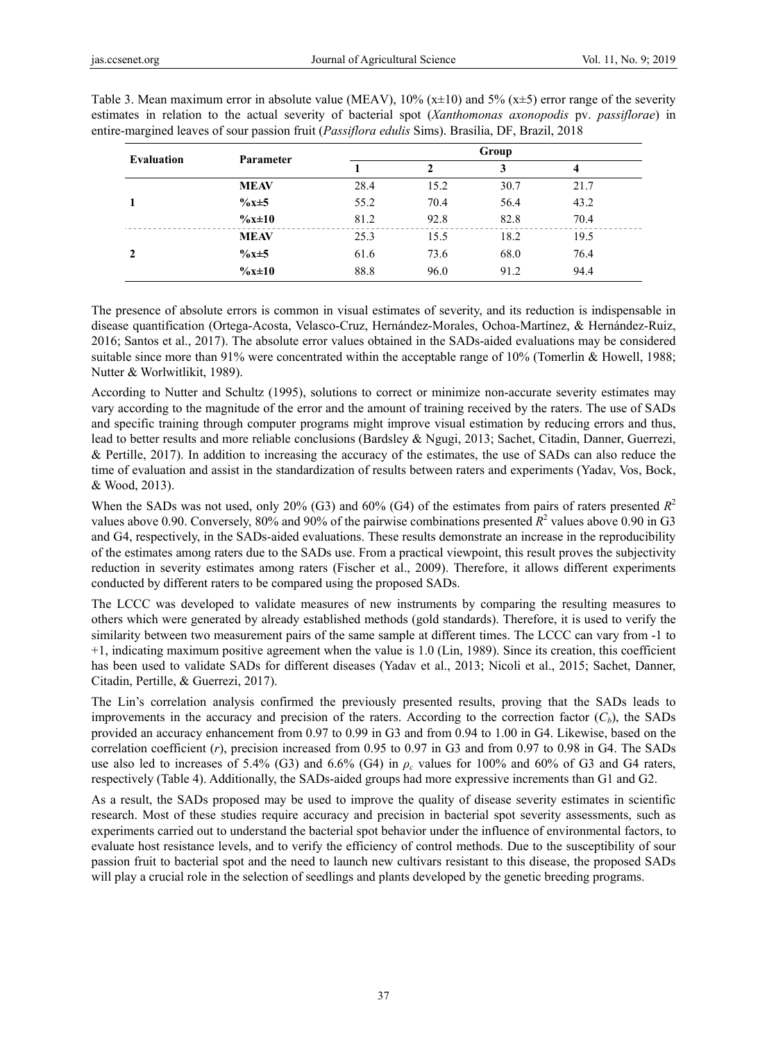| <b>Evaluation</b> | Parameter         | Group |      |      |      |  |  |
|-------------------|-------------------|-------|------|------|------|--|--|
|                   |                   |       | 2    | 3    | 4    |  |  |
|                   | <b>MEAV</b>       | 28.4  | 15.2 | 30.7 | 21.7 |  |  |
|                   | $\%x \pm 5$       | 55.2  | 70.4 | 56.4 | 43.2 |  |  |
|                   | $\frac{6x+10}{x}$ | 81.2  | 92.8 | 82.8 | 70.4 |  |  |
|                   | <b>MEAV</b>       | 25.3  | 15.5 | 18.2 | 19.5 |  |  |
| 2                 | $\%x \pm 5$       | 61.6  | 73.6 | 68.0 | 76.4 |  |  |
|                   | $\frac{6x+10}{x}$ | 88.8  | 96.0 | 91.2 | 94.4 |  |  |

Table 3. Mean maximum error in absolute value (MEAV),  $10\%$  (x $\pm$ 10) and 5% (x $\pm$ 5) error range of the severity estimates in relation to the actual severity of bacterial spot (*Xanthomonas axonopodis* pv. *passiflorae*) in entire-margined leaves of sour passion fruit (*Passiflora edulis* Sims). Brasília, DF, Brazil, 2018

The presence of absolute errors is common in visual estimates of severity, and its reduction is indispensable in disease quantification (Ortega-Acosta, Velasco-Cruz, Hernández-Morales, Ochoa-Martínez, & Hernández-Ruiz, 2016; Santos et al., 2017). The absolute error values obtained in the SADs-aided evaluations may be considered suitable since more than 91% were concentrated within the acceptable range of 10% (Tomerlin & Howell, 1988; Nutter & Worlwitlikit, 1989).

According to Nutter and Schultz (1995), solutions to correct or minimize non-accurate severity estimates may vary according to the magnitude of the error and the amount of training received by the raters. The use of SADs and specific training through computer programs might improve visual estimation by reducing errors and thus, lead to better results and more reliable conclusions (Bardsley & Ngugi, 2013; Sachet, Citadin, Danner, Guerrezi, & Pertille, 2017). In addition to increasing the accuracy of the estimates, the use of SADs can also reduce the time of evaluation and assist in the standardization of results between raters and experiments (Yadav, Vos, Bock, & Wood, 2013).

When the SADs was not used, only 20% (G3) and 60% (G4) of the estimates from pairs of raters presented  $R^2$ values above 0.90. Conversely, 80% and 90% of the pairwise combinations presented  $R^2$  values above 0.90 in G3 and G4, respectively, in the SADs-aided evaluations. These results demonstrate an increase in the reproducibility of the estimates among raters due to the SADs use. From a practical viewpoint, this result proves the subjectivity reduction in severity estimates among raters (Fischer et al., 2009). Therefore, it allows different experiments conducted by different raters to be compared using the proposed SADs.

The LCCC was developed to validate measures of new instruments by comparing the resulting measures to others which were generated by already established methods (gold standards). Therefore, it is used to verify the similarity between two measurement pairs of the same sample at different times. The LCCC can vary from -1 to +1, indicating maximum positive agreement when the value is 1.0 (Lin, 1989). Since its creation, this coefficient has been used to validate SADs for different diseases (Yadav et al., 2013; Nicoli et al., 2015; Sachet, Danner, Citadin, Pertille, & Guerrezi, 2017).

The Lin's correlation analysis confirmed the previously presented results, proving that the SADs leads to improvements in the accuracy and precision of the raters. According to the correction factor  $(C_b)$ , the SADs provided an accuracy enhancement from 0.97 to 0.99 in G3 and from 0.94 to 1.00 in G4. Likewise, based on the correlation coefficient (*r*), precision increased from 0.95 to 0.97 in G3 and from 0.97 to 0.98 in G4. The SADs use also led to increases of 5.4% (G3) and 6.6% (G4) in  $\rho_c$  values for 100% and 60% of G3 and G4 raters, respectively (Table 4). Additionally, the SADs-aided groups had more expressive increments than G1 and G2.

As a result, the SADs proposed may be used to improve the quality of disease severity estimates in scientific research. Most of these studies require accuracy and precision in bacterial spot severity assessments, such as experiments carried out to understand the bacterial spot behavior under the influence of environmental factors, to evaluate host resistance levels, and to verify the efficiency of control methods. Due to the susceptibility of sour passion fruit to bacterial spot and the need to launch new cultivars resistant to this disease, the proposed SADs will play a crucial role in the selection of seedlings and plants developed by the genetic breeding programs.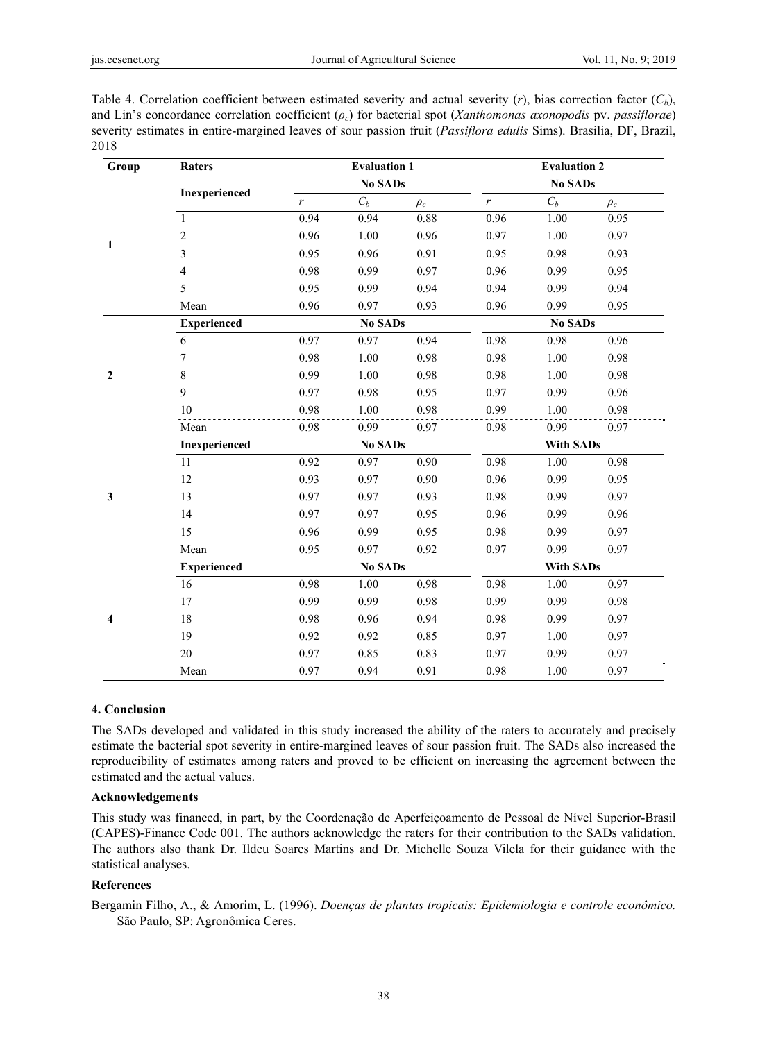| Table 4. Correlation coefficient between estimated severity and actual severity $(r)$ , bias correction factor $(C_h)$ ,   |
|----------------------------------------------------------------------------------------------------------------------------|
| and Lin's concordance correlation coefficient $(\rho_c)$ for bacterial spot (Xanthomonas axonopodis pv. passiflorae)       |
| severity estimates in entire-margined leaves of sour passion fruit ( <i>Passiflora edulis</i> Sims). Brasilia, DF, Brazil, |
| 2018.                                                                                                                      |

| Group          | <b>Raters</b>            | <b>Evaluation 1</b> |                |          | <b>Evaluation 2</b> |                |          |  |
|----------------|--------------------------|---------------------|----------------|----------|---------------------|----------------|----------|--|
|                |                          | <b>No SADs</b>      |                |          |                     | <b>No SADs</b> |          |  |
|                | Inexperienced            | $\boldsymbol{r}$    | $C_b$          | $\rho_c$ | $\boldsymbol{r}$    | $C_b$          | $\rho_c$ |  |
|                | $\mathbf{1}$             | 0.94                | 0.94           | 0.88     | 0.96                | 1.00           | 0.95     |  |
|                | $\overline{c}$           | 0.96                | 1.00           | 0.96     | 0.97                | 1.00           | 0.97     |  |
| 1              | $\overline{\mathbf{3}}$  | 0.95                | 0.96           | 0.91     | 0.95                | 0.98           | 0.93     |  |
|                | $\overline{\mathcal{L}}$ | 0.98                | 0.99           | 0.97     | 0.96                | 0.99           | 0.95     |  |
|                | 5                        | 0.95                | 0.99           | 0.94     | 0.94                | 0.99           | 0.94     |  |
|                | Mean                     | 0.96                | 0.97           | 0.93     | 0.96                | 0.99           | 0.95     |  |
|                | <b>Experienced</b>       | <b>No SADs</b>      |                |          |                     | <b>No SADs</b> |          |  |
|                | 6                        | 0.97                | 0.97           | 0.94     | 0.98                | 0.98           | 0.96     |  |
|                | $\tau$                   | 0.98                | 1.00           | 0.98     | 0.98                | 1.00           | 0.98     |  |
| $\overline{2}$ | 8                        | 0.99                | 1.00           | 0.98     | 0.98                | 1.00           | 0.98     |  |
|                | 9                        | 0.97                | 0.98           | 0.95     | 0.97                | 0.99           | 0.96     |  |
|                | 10                       | 0.98                | 1.00           | 0.98     | 0.99                | 1.00           | 0.98     |  |
|                | Mean                     | 0.98                | 0.99           | 0.97     | 0.98                | 0.99           | 0.97     |  |
|                | Inexperienced            |                     | <b>No SADs</b> |          | <b>With SADs</b>    |                |          |  |
|                | 11                       | 0.92                | 0.97           | 0.90     | 0.98                | 1.00           | 0.98     |  |
|                | 12                       | 0.93                | 0.97           | 0.90     | 0.96                | 0.99           | 0.95     |  |
| $\mathbf{3}$   | 13                       | 0.97                | 0.97           | 0.93     | 0.98                | 0.99           | 0.97     |  |
|                | 14                       | 0.97                | 0.97           | 0.95     | 0.96                | 0.99           | 0.96     |  |
|                | 15                       | 0.96                | 0.99           | 0.95     | 0.98                | 0.99           | 0.97     |  |
|                | Mean                     | 0.95                | 0.97           | 0.92     | 0.97                | 0.99           | 0.97     |  |
|                | <b>Experienced</b>       | <b>No SADs</b>      |                |          | <b>With SADs</b>    |                |          |  |
|                | 16                       | 0.98                | 1.00           | 0.98     | 0.98                | 1.00           | 0.97     |  |
| 4              | 17                       | 0.99                | 0.99           | 0.98     | 0.99                | 0.99           | 0.98     |  |
|                | 18                       | 0.98                | 0.96           | 0.94     | 0.98                | 0.99           | 0.97     |  |
|                | 19                       | 0.92                | 0.92           | 0.85     | 0.97                | 1.00           | 0.97     |  |
|                | 20                       | 0.97                | 0.85           | 0.83     | 0.97                | 0.99           | 0.97     |  |
|                | Mean                     | 0.97                | 0.94           | 0.91     | 0.98                | 1.00           | 0.97     |  |

## **4. Conclusion**

The SADs developed and validated in this study increased the ability of the raters to accurately and precisely estimate the bacterial spot severity in entire-margined leaves of sour passion fruit. The SADs also increased the reproducibility of estimates among raters and proved to be efficient on increasing the agreement between the estimated and the actual values.

#### **Acknowledgements**

This study was financed, in part, by the Coordenação de Aperfeiçoamento de Pessoal de Nível Superior-Brasil (CAPES)-Finance Code 001. The authors acknowledge the raters for their contribution to the SADs validation. The authors also thank Dr. Ildeu Soares Martins and Dr. Michelle Souza Vilela for their guidance with the statistical analyses.

# **References**

Bergamin Filho, A., & Amorim, L. (1996). *Doenças de plantas tropicais: Epidemiologia e controle econômico.* São Paulo, SP: Agronômica Ceres.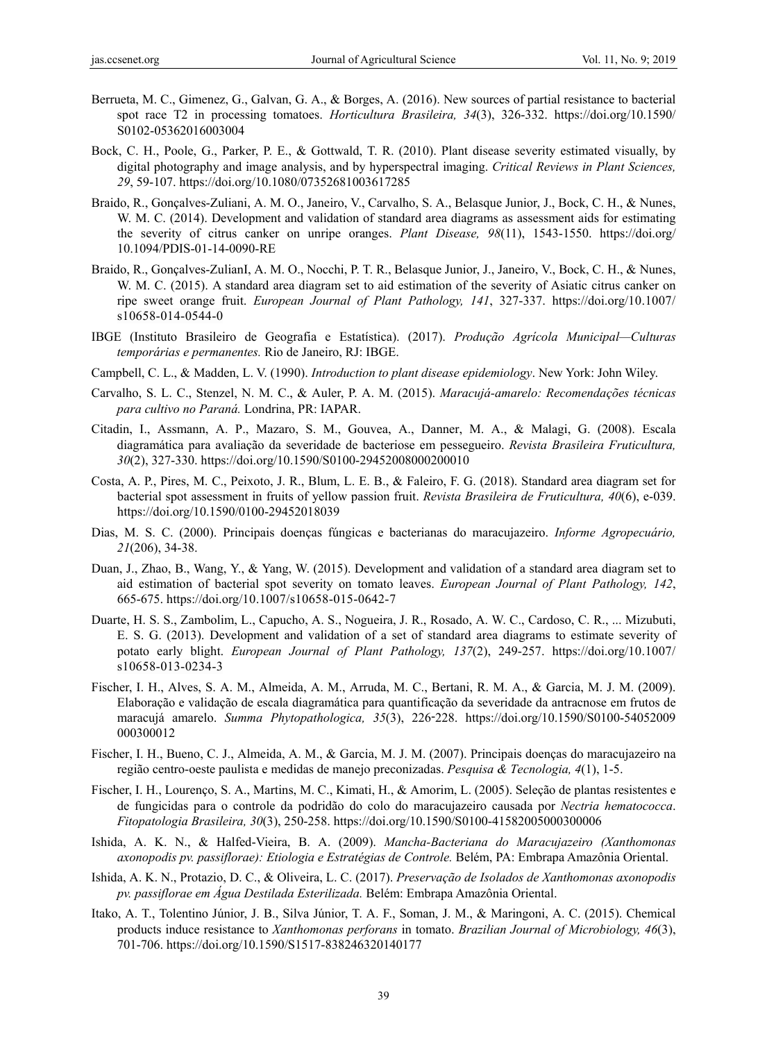- Berrueta, M. C., Gimenez, G., Galvan, G. A., & Borges, A. (2016). New sources of partial resistance to bacterial spot race T2 in processing tomatoes. *Horticultura Brasileira, 34*(3), 326-332. https://doi.org/10.1590/ S0102-05362016003004
- Bock, C. H., Poole, G., Parker, P. E., & Gottwald, T. R. (2010). Plant disease severity estimated visually, by digital photography and image analysis, and by hyperspectral imaging. *Critical Reviews in Plant Sciences, 29*, 59-107. https://doi.org/10.1080/07352681003617285
- Braido, R., Gonçalves-Zuliani, A. M. O., Janeiro, V., Carvalho, S. A., Belasque Junior, J., Bock, C. H., & Nunes, W. M. C. (2014). Development and validation of standard area diagrams as assessment aids for estimating the severity of citrus canker on unripe oranges. *Plant Disease, 98*(11), 1543-1550. https://doi.org/ 10.1094/PDIS-01-14-0090-RE
- Braido, R., Gonçalves-ZulianI, A. M. O., Nocchi, P. T. R., Belasque Junior, J., Janeiro, V., Bock, C. H., & Nunes, W. M. C. (2015). A standard area diagram set to aid estimation of the severity of Asiatic citrus canker on ripe sweet orange fruit. *European Journal of Plant Pathology, 141*, 327-337. https://doi.org/10.1007/ s10658-014-0544-0
- IBGE (Instituto Brasileiro de Geografia e Estatística). (2017). *Produção Agrícola Municipal—Culturas temporárias e permanentes.* Rio de Janeiro, RJ: IBGE.
- Campbell, C. L., & Madden, L. V. (1990). *Introduction to plant disease epidemiology*. New York: John Wiley.
- Carvalho, S. L. C., Stenzel, N. M. C., & Auler, P. A. M. (2015). *Maracujá-amarelo: Recomendações técnicas para cultivo no Paraná.* Londrina, PR: IAPAR.
- Citadin, I., Assmann, A. P., Mazaro, S. M., Gouvea, A., Danner, M. A., & Malagi, G. (2008). Escala diagramática para avaliação da severidade de bacteriose em pessegueiro. *Revista Brasileira Fruticultura, 30*(2), 327-330. https://doi.org/10.1590/S0100-29452008000200010
- Costa, A. P., Pires, M. C., Peixoto, J. R., Blum, L. E. B., & Faleiro, F. G. (2018). Standard area diagram set for bacterial spot assessment in fruits of yellow passion fruit. *Revista Brasileira de Fruticultura, 40*(6), e-039. https://doi.org/10.1590/0100-29452018039
- Dias, M. S. C. (2000). Principais doenças fúngicas e bacterianas do maracujazeiro. *Informe Agropecuário, 21*(206), 34-38.
- Duan, J., Zhao, B., Wang, Y., & Yang, W. (2015). Development and validation of a standard area diagram set to aid estimation of bacterial spot severity on tomato leaves. *European Journal of Plant Pathology, 142*, 665-675. https://doi.org/10.1007/s10658-015-0642-7
- Duarte, H. S. S., Zambolim, L., Capucho, A. S., Nogueira, J. R., Rosado, A. W. C., Cardoso, C. R., ... Mizubuti, E. S. G. (2013). Development and validation of a set of standard area diagrams to estimate severity of potato early blight. *European Journal of Plant Pathology, 137*(2), 249-257. https://doi.org/10.1007/ s10658-013-0234-3
- Fischer, I. H., Alves, S. A. M., Almeida, A. M., Arruda, M. C., Bertani, R. M. A., & Garcia, M. J. M. (2009). Elaboração e validação de escala diagramática para quantificação da severidade da antracnose em frutos de maracujá amarelo. *Summa Phytopathologica, 35*(3), 226 228. ‑ https://doi.org/10.1590/S0100-54052009 000300012
- Fischer, I. H., Bueno, C. J., Almeida, A. M., & Garcia, M. J. M. (2007). Principais doenças do maracujazeiro na região centro-oeste paulista e medidas de manejo preconizadas. *Pesquisa & Tecnologia, 4*(1), 1-5.
- Fischer, I. H., Lourenço, S. A., Martins, M. C., Kimati, H., & Amorim, L. (2005). Seleção de plantas resistentes e de fungicidas para o controle da podridão do colo do maracujazeiro causada por *Nectria hematococca*. *Fitopatologia Brasileira, 30*(3), 250-258. https://doi.org/10.1590/S0100-41582005000300006
- Ishida, A. K. N., & Halfed-Vieira, B. A. (2009). *Mancha-Bacteriana do Maracujazeiro (Xanthomonas axonopodis pv. passiflorae): Etiologia e Estratégias de Controle.* Belém, PA: Embrapa Amazônia Oriental.
- Ishida, A. K. N., Protazio, D. C., & Oliveira, L. C. (2017). *Preservação de Isolados de Xanthomonas axonopodis pv. passiflorae em Água Destilada Esterilizada.* Belém: Embrapa Amazônia Oriental.
- Itako, A. T., Tolentino Júnior, J. B., Silva Júnior, T. A. F., Soman, J. M., & Maringoni, A. C. (2015). Chemical products induce resistance to *Xanthomonas perforans* in tomato. *Brazilian Journal of Microbiology, 46*(3), 701-706. https://doi.org/10.1590/S1517-838246320140177